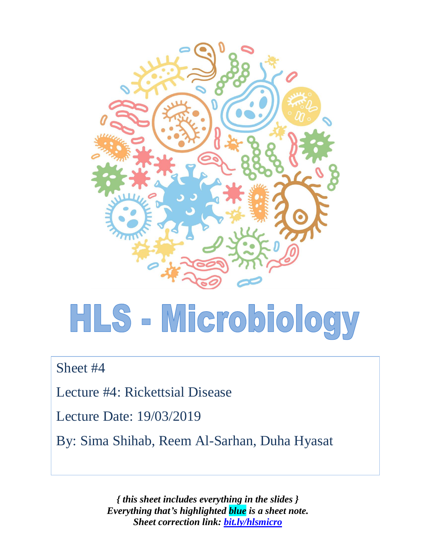

# HLS - Microbiology

Sheet #4

Lecture #4: Rickettsial Disease

Lecture Date: 19/03/2019

By: Sima Shihab, Reem Al-Sarhan, Duha Hyasat

*{ this sheet includes everything in the slides } Everything that's highlighted blue is a sheet note. Sheet correction link: [bit.ly/hlsmicro](https://bit.ly/hlsmicro)*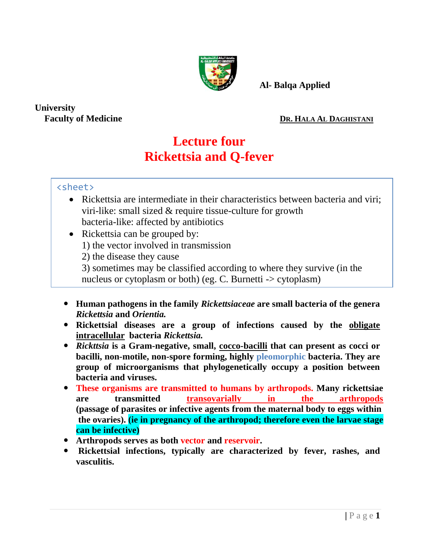

 **Al- Balqa Applied** 

**University** 

#### **Faculty of Medicine DR. HALA AL DAGHISTANI**

## **Lecture four Rickettsia and Q-fever**

### <sheet>

- Rickettsia are intermediate in their characteristics between bacteria and viri; viri-like: small sized & require tissue-culture for growth bacteria-like: affected by antibiotics
- Rickettsia can be grouped by:
	- 1) the vector involved in transmission
	- 2) the disease they cause
	- 3) sometimes may be classified according to where they survive (in the nucleus or cytoplasm or both) (eg. C. Burnetti -> cytoplasm)
- **Human pathogens in the family** *Rickettsiaceae* **are small bacteria of the genera**  *Rickettsia* **and** *Orientia.*
- **Rickettsial diseases are a group of infections caused by the obligate intracellular bacteria** *Rickettsia.*
- *Rickttsia* **is a Gram-negative, small, cocco-bacilli that can present as cocci or bacilli, non-motile, non-spore forming, highly pleomorphic bacteria. They are group of microorganisms that phylogenetically occupy a position between bacteria and viruses.**
- **These organisms are transmitted to humans by arthropods. Many rickettsiae are transmitted transovarially in the arthropods (passage of parasites or infective agents from the maternal body to eggs within the ovaries). (ie in pregnancy of the arthropod; therefore even the larvae stage can be infective)**
- **Arthropods serves as both vector and reservoir.**
- **Rickettsial infections, typically are characterized by fever, rashes, and vasculitis.**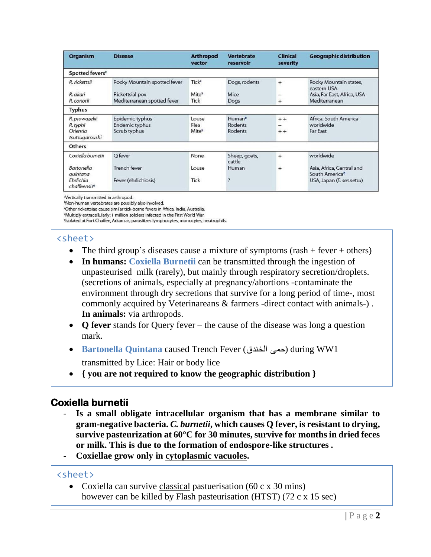| <b>Organism</b>                                        | <b>Disease</b>                                           | <b>Arthropod</b><br>vector         | <b>Vertebrate</b><br>reservoir           | <b>Clinical</b><br>severity | <b>Geographic distribution</b>                          |
|--------------------------------------------------------|----------------------------------------------------------|------------------------------------|------------------------------------------|-----------------------------|---------------------------------------------------------|
| Spotted fevers <sup>c</sup>                            |                                                          |                                    |                                          |                             |                                                         |
| R. rickettsii                                          | Rocky Mountain spotted fever                             | Tick <sup>3</sup>                  | Dogs, rodents                            | $+$                         | Rocky Mountain states,<br>eastern USA                   |
| R. akari                                               | Rickettsial pox                                          | Mite <sup>a</sup>                  | Mice                                     |                             | Asia, Far East, Africa, USA                             |
| R. conorii                                             | Mediterranean spotted fever                              | Tick                               | Dogs                                     | $^{+}$                      | Mediterranean                                           |
| <b>Typhus</b>                                          |                                                          |                                    |                                          |                             |                                                         |
| R. prowazekii<br>R. typhi<br>Orientia<br>tsutsugamushi | Epidemic typhus<br><b>Endemic typhus</b><br>Scrub typhus | Louse<br>Flea<br>Mite <sup>a</sup> | Human <sup>b</sup><br>Rodents<br>Rodents | $+ +$<br>-<br>$+ +$         | Africa, South America<br>worldwide<br>Far East          |
| <b>Others</b>                                          |                                                          |                                    |                                          |                             |                                                         |
| Coxiella bumetii                                       | O fever                                                  | None                               | Sheep, goats,<br>cattle                  | $+$                         | worldwide                                               |
| <b>Bartonella</b><br>quintana                          | <b>Trench fever</b>                                      | Louse                              | Human                                    | $^{+}$                      | Asia, Africa, Central and<br>South America <sup>d</sup> |
| Ehrlichia<br>chaffeensise                              | Fever (ehrlichiosis)                                     | <b>Tick</b>                        | п                                        |                             | USA, Japan (E. sennetsu)                                |

<sup>a</sup>Vertically transmitted in arthropod.

<sup>b</sup>Non-human vertebrates are possibly also involved.

<sup>4</sup>Other rickettsiae cause similar tick-borne fevers in Africa, India, Australia. <sup>d</sup>Multiply extracellularly; 1 million soldiers infected in the First World War.

<sup>e</sup>lsolated at Fort Chaffee, Arkansas; parasitizes lymphocytes, monocytes, neutrophils.

#### <sheet>

- The third group's diseases cause a mixture of symptoms  $(rash + fever + others)$
- **In humans: Coxiella Burnetii** can be transmitted through the ingestion of unpasteurised milk (rarely), but mainly through respiratory secretion/droplets. (secretions of animals, especially at pregnancy/abortions -contaminate the environment through dry secretions that survive for a long period of time-, most commonly acquired by Veterinareans & farmers -direct contact with animals-) . **In animals:** via arthropods.
- **Q fever** stands for Query fever the cause of the disease was long a question mark.
- **Bartonella Quintana** caused Trench Fever (الخندق حمى (during WW1 transmitted by Lice: Hair or body lice
- **{ you are not required to know the geographic distribution }**

## **Coxiella burnetii**

- *-* **Is a small obligate intracellular organism that has a membrane similar to gram-negative bacteria.** *C. burnetii***, which causes Q fever, is resistant to drying, survive pasteurization at 60°C for 30 minutes, survive for months in dried feces or milk. This is due to the formation of endospore-like structures** *.*
- *-* **Coxiellae grow only in cytoplasmic vacuoles.**

#### <sheet>

• Coxiella can survive classical pastuerisation (60 c x 30 mins) however can be killed by Flash pasteurisation (HTST) (72 c x 15 sec)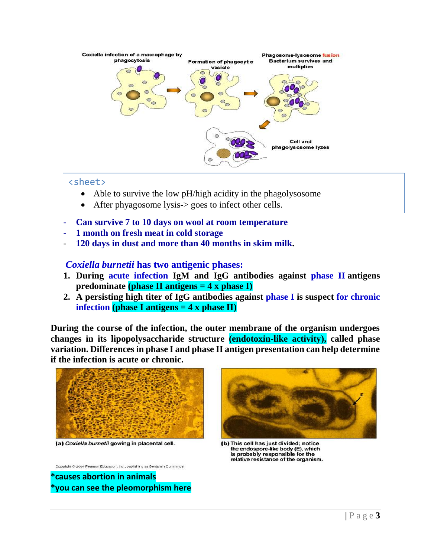

#### <sheet>

- Able to survive the low pH/high acidity in the phagolysosome
- After phyagosome lysis-> goes to infect other cells.
- *-* **Can survive 7 to 10 days on wool at room temperature**
- *-* **1 month on fresh meat in cold storage**
- *-* **120 days in dust and more than 40 months in skim milk.**

#### *Coxiella burnetii* **has two antigenic phases:**

- **1. During acute infection IgM and IgG antibodies against phase II antigens predominate (phase II antigens = 4 x phase I)**
- **2. A persisting high titer of IgG antibodies against phase I is suspect for chronic infection (phase I antigens = 4 x phase II)**

**During the course of the infection, the outer membrane of the organism undergoes changes in its lipopolysaccharide structure (endotoxin-like activity), called phase variation. Differences in phase I and phase II antigen presentation can help determine if the infection is acute or chronic.** 



(a) Coxiella burnetii gowing in placental cell.

Copyright © 2004 Pearson Education, Inc., publishing as Benjamin Cummings.

**\*causes abortion in animals \*you can see the pleomorphism here**



(b) This cell has just divided; notice the endospore-like body (E), which is probably responsible for the relative resistance of the organism.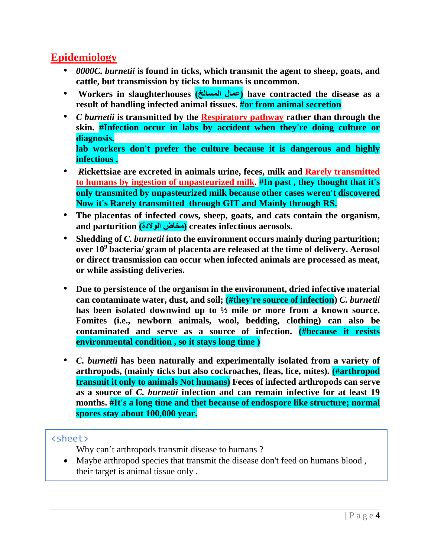## **Epidemiology**

- *0000C. burnetii* **is found in ticks, which transmit the agent to sheep, goats, and cattle, but transmission by ticks to humans is uncommon.**
- **Workers in slaughterhouses (المسالخ عمال (have contracted the disease as a result of handling infected animal tissues. #or from animal secretion**
- *C burnetii* **is transmitted by the Respiratory pathway rather than through the skin. #Infection occur in labs by accident when they're doing culture or diagnosis. lab workers don't prefer the culture because it is dangerous and highly infectious .**
- *R***ickettsiae are excreted in animals urine, feces, milk and Rarely transmitted to humans by ingestion of unpasteurized milk. #In past , they thought that it's only transmited by unpasteurized milk because other cases weren't discovered Now it's Rarely transmitted through GIT and Mainly through RS.**
- **The placentas of infected cows, sheep, goats, and cats contain the organism,**  and parturition (مخاض الولادة) creates infectious aerosols.
- **Shedding of** *C. burnetii* **into the environment occurs mainly during parturition; over 10<sup>9</sup> bacteria/ gram of placenta are released at the time of delivery. Aerosol or direct transmission can occur when infected animals are processed as meat, or while assisting deliveries.**
- **Due to persistence of the organism in the environment, dried infective material can contaminate water, dust, and soil; (#they're source of infection)** *C. burnetii* **has been isolated downwind up to ½ mile or more from a known source. Fomites (i.e., newborn animals, wool, bedding, clothing) can also be contaminated and serve as a source of infection. (#because it resists environmental condition , so it stays long time )**
- *C. burnetii* **has been naturally and experimentally isolated from a variety of arthropods, (mainly ticks but also cockroaches, fleas, lice, mites). (#arthropod transmit it only to animals Not humans) Feces of infected arthropods can serve as a source of** *C. burnetii* **infection and can remain infective for at least 19 months. #It's a long time and thet because of endospore like structure; normal spores stay about 100,000 year.**

#### <sheet>

Why can't arthropods transmit disease to humans ?

• Maybe arthropod species that transmit the disease don't feed on humans blood, their target is animal tissue only .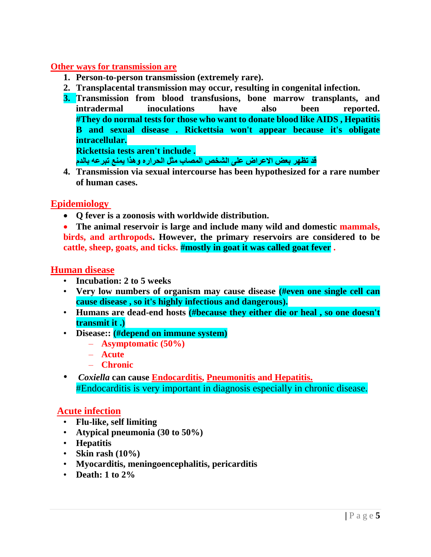#### **Other ways for transmission are**

- **1. Person-to-person transmission (extremely rare).**
- **2. Transplacental transmission may occur, resulting in congenital infection.**
- **3. Transmission from blood transfusions, bone marrow transplants, and intradermal inoculations have also been reported. #They do normal tests for those who want to donate blood like AIDS , Hepatitis B and sexual disease . Rickettsia won't appear because it's obligate intracellular. Rickettsia tests aren't include .**

**قد تظهر بعض االعراض على الشخص المصاب مثل الحراره وهذا يمنع تبرعه بالدم**

**4. Transmission via sexual intercourse has been hypothesized for a rare number of human cases.**

#### **Epidemiology**

• **Q fever is a zoonosis with worldwide distribution.** 

• **The animal reservoir is large and include many wild and domestic mammals, birds, and arthropods. However, the primary reservoirs are considered to be cattle, sheep, goats, and ticks. #mostly in goat it was called goat fever .**

#### **Human disease**

- **Incubation: 2 to 5 weeks**
- **Very low numbers of organism may cause disease (#even one single cell can cause disease , so it's highly infectious and dangerous).**
- **Humans are dead-end hosts (#because they either die or heal , so one doesn't transmit it .)**
- **Disease:: (#depend on immune system)**
	- **Asymptomatic (50%)**
	- **Acute**
	- **Chronic**
- *Coxiella* **can cause Endocarditis, Pneumonitis and Hepatitis.** #Endocarditis is very important in diagnosis especially in chronic disease.

#### **Acute infection**

- **Flu-like, self limiting**
- **Atypical pneumonia (30 to 50%)**
- **Hepatitis**
- **Skin rash (10%)**
- **Myocarditis, meningoencephalitis, pericarditis**
- **Death: 1 to 2%**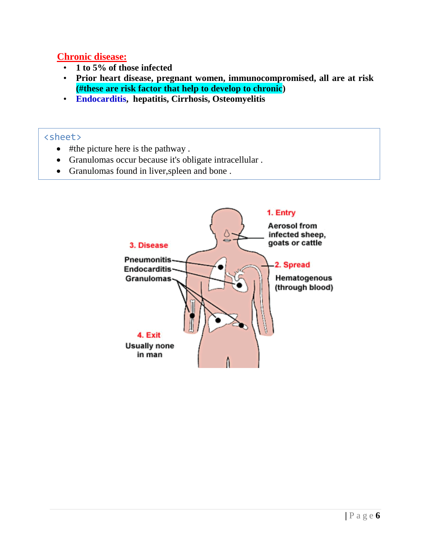#### **Chronic disease:**

- **1 to 5% of those infected**
- **Prior heart disease, pregnant women, immunocompromised, all are at risk (#these are risk factor that help to develop to chronic)**
- **Endocarditis, hepatitis, Cirrhosis, Osteomyelitis**

#### <sheet>

- #the picture here is the pathway .
- Granulomas occur because it's obligate intracellular .

• Patients mainly die due to Endocarditis ,so it dosen't exit from human .

• Granulomas found in liver,spleen and bone .

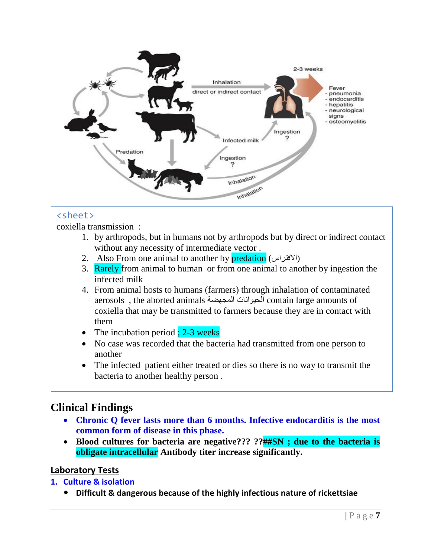

#### <sheet>

coxiella transmission :

- 1. by arthropods, but in humans not by arthropods but by direct or indirect contact without any necessity of intermediate vector .
- 2. Also From one animal to another by predation (الافتراس)
- 3. Rarely from animal to human or from one animal to another by ingestion the infected milk
- 4. From animal hosts to humans (farmers) through inhalation of contaminated aerosols , the aborted animals الحيوانات المجهضة contain large amounts of coxiella that may be transmitted to farmers because they are in contact with them
- The incubation period  $\frac{1}{2}$  : 2-3 weeks
- No case was recorded that the bacteria had transmitted from one person to another
- The infected patient either treated or dies so there is no way to transmit the bacteria to another healthy person .

## **Clinical Findings**

- **Chronic Q fever lasts more than 6 months. Infective endocarditis is the most common form of disease in this phase.**
- **Blood cultures for bacteria are negative??? ??##SN ; due to the bacteria is obligate intracellular Antibody titer increase significantly.**

#### **Laboratory Tests**

**1. Culture & isolation**

**Difficult & dangerous because of the highly infectious nature of rickettsiae**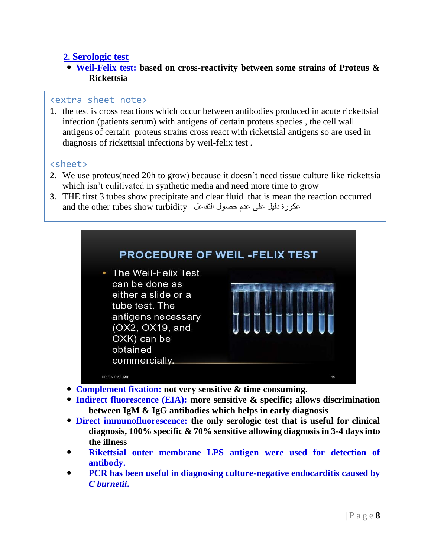#### **2. Serologic test**

 **Weil-Felix test: based on cross-reactivity between some strains of Proteus & Rickettsia**

#### <extra sheet note>

1. the test is cross reactions which occur between antibodies produced in acute rickettsial infection (patients serum) with antigens of certain proteus species , the cell wall antigens of certain proteus strains cross react with rickettsial antigens so are used in diagnosis of rickettsial infections by weil-felix test .

#### <sheet>

- 2. We use proteus(need 20h to grow) because it doesn't need tissue culture like rickettsia which isn't culitivated in synthetic media and need more time to grow
- 3. THE first 3 tubes show precipitate and clear fluid that is mean the reaction occurred and the other tubes show turbidity عكورة دليل على عدم حصول التفاعل



- **Complement fixation: not very sensitive & time consuming.**
- **Indirect fluorescence (EIA): more sensitive & specific; allows discrimination between IgM & IgG antibodies which helps in early diagnosis**
- **Direct immunofluorescence: the only serologic test that is useful for clinical diagnosis, 100% specific & 70% sensitive allowing diagnosis in 3-4 days into the illness**
- **Rikettsial outer membrane LPS antigen were used for detection of antibody.**
- **PCR has been useful in diagnosing culture-negative endocarditis caused by**  *C burnetii***.**